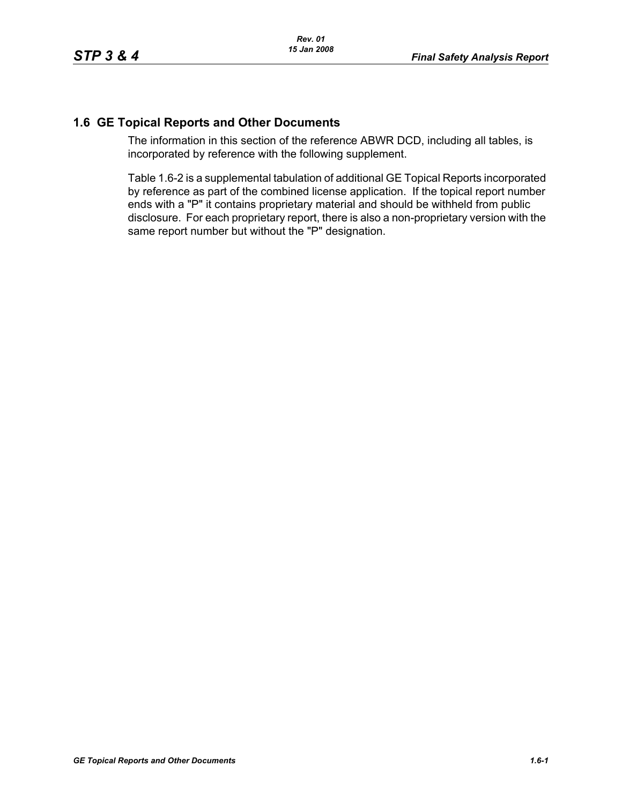## **1.6 GE Topical Reports and Other Documents**

The information in this section of the reference ABWR DCD, including all tables, is incorporated by reference with the following supplement.

Table 1.6-2 is a supplemental tabulation of additional GE Topical Reports incorporated by reference as part of the combined license application. If the topical report number ends with a "P" it contains proprietary material and should be withheld from public disclosure. For each proprietary report, there is also a non-proprietary version with the same report number but without the "P" designation.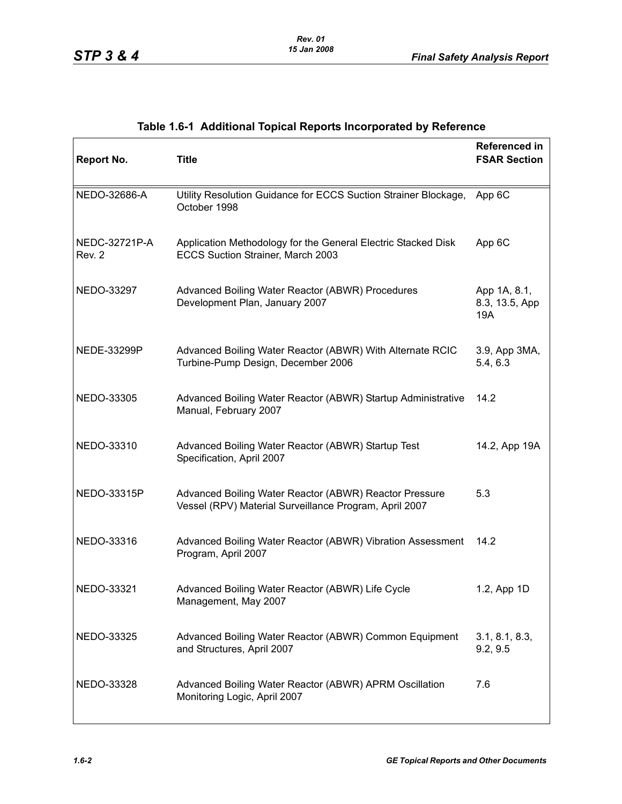| <b>Report No.</b>       | <b>Title</b>                                                                                                     | Referenced in<br><b>FSAR Section</b>  |
|-------------------------|------------------------------------------------------------------------------------------------------------------|---------------------------------------|
| NEDO-32686-A            | Utility Resolution Guidance for ECCS Suction Strainer Blockage,<br>October 1998                                  | App 6C                                |
| NEDC-32721P-A<br>Rev. 2 | Application Methodology for the General Electric Stacked Disk<br>ECCS Suction Strainer, March 2003               | App 6C                                |
| NEDO-33297              | Advanced Boiling Water Reactor (ABWR) Procedures<br>Development Plan, January 2007                               | App 1A, 8.1,<br>8.3, 13.5, App<br>19A |
| NEDE-33299P             | Advanced Boiling Water Reactor (ABWR) With Alternate RCIC<br>Turbine-Pump Design, December 2006                  | 3.9, App 3MA,<br>5.4, 6.3             |
| NEDO-33305              | Advanced Boiling Water Reactor (ABWR) Startup Administrative<br>Manual, February 2007                            | 14.2                                  |
| NEDO-33310              | Advanced Boiling Water Reactor (ABWR) Startup Test<br>Specification, April 2007                                  | 14.2, App 19A                         |
| NEDO-33315P             | Advanced Boiling Water Reactor (ABWR) Reactor Pressure<br>Vessel (RPV) Material Surveillance Program, April 2007 | 5.3                                   |
| NEDO-33316              | Advanced Boiling Water Reactor (ABWR) Vibration Assessment<br>Program, April 2007                                | 14.2                                  |
| NEDO-33321              | Advanced Boiling Water Reactor (ABWR) Life Cycle<br>Management, May 2007                                         | 1.2, App 1D                           |
| NEDO-33325              | Advanced Boiling Water Reactor (ABWR) Common Equipment<br>and Structures, April 2007                             | 3.1, 8.1, 8.3,<br>9.2, 9.5            |
| NEDO-33328              | Advanced Boiling Water Reactor (ABWR) APRM Oscillation<br>Monitoring Logic, April 2007                           | 7.6                                   |

## **Table 1.6-1 Additional Topical Reports Incorporated by Reference**